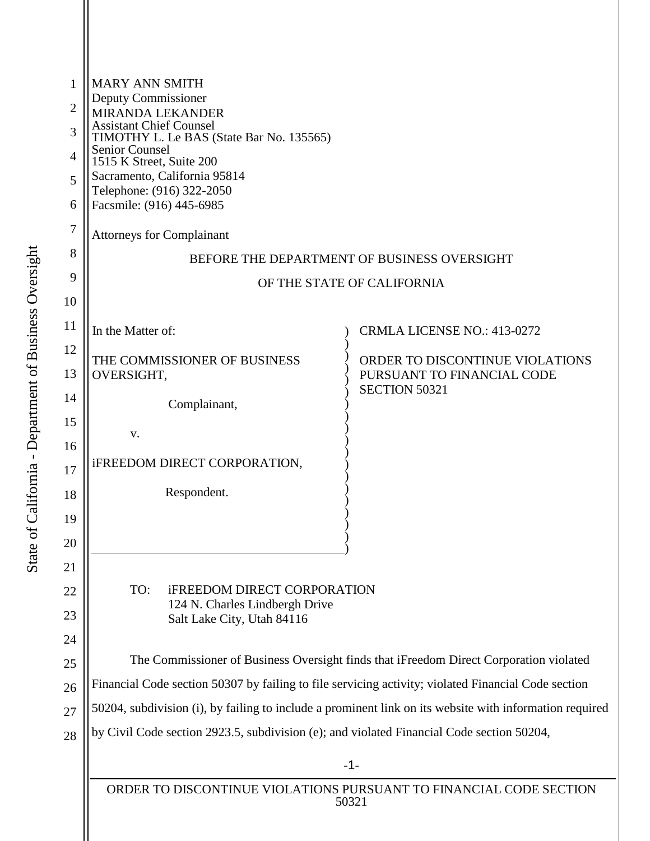| 1              | <b>MARY ANN SMITH</b><br>Deputy Commissioner                                                            |                                                    |  |
|----------------|---------------------------------------------------------------------------------------------------------|----------------------------------------------------|--|
| 2              |                                                                                                         |                                                    |  |
| 3              | <b>MIRANDA LEKANDER</b><br><b>Assistant Chief Counsel</b>                                               |                                                    |  |
| $\overline{4}$ | TIMOTHY L. Le BAS (State Bar No. 135565)<br><b>Senior Counsel</b>                                       |                                                    |  |
| 5              | 1515 K Street, Suite 200<br>Sacramento, California 95814                                                |                                                    |  |
| 6              | Telephone: (916) 322-2050<br>Facsmile: (916) 445-6985                                                   |                                                    |  |
|                |                                                                                                         |                                                    |  |
| 7              | <b>Attorneys for Complainant</b>                                                                        |                                                    |  |
| 8              | BEFORE THE DEPARTMENT OF BUSINESS OVERSIGHT                                                             |                                                    |  |
| 9              | OF THE STATE OF CALIFORNIA                                                                              |                                                    |  |
| 10             |                                                                                                         |                                                    |  |
| 11             | In the Matter of:                                                                                       | <b>CRMLA LICENSE NO.: 413-0272</b>                 |  |
| 12             | THE COMMISSIONER OF BUSINESS                                                                            | ORDER TO DISCONTINUE VIOLATIONS                    |  |
| 13             | OVERSIGHT,                                                                                              | PURSUANT TO FINANCIAL CODE<br><b>SECTION 50321</b> |  |
| 14             | Complainant,                                                                                            |                                                    |  |
| 15             | V.                                                                                                      |                                                    |  |
| 16             |                                                                                                         |                                                    |  |
| 17             | <b>iFREEDOM DIRECT CORPORATION,</b>                                                                     |                                                    |  |
| 18             | Respondent.                                                                                             |                                                    |  |
| 19             |                                                                                                         |                                                    |  |
| 20             |                                                                                                         |                                                    |  |
| 21             |                                                                                                         |                                                    |  |
| 22             | <b>iFREEDOM DIRECT CORPORATION</b><br>TO:                                                               |                                                    |  |
| 23             | 124 N. Charles Lindbergh Drive<br>Salt Lake City, Utah 84116                                            |                                                    |  |
| 24             |                                                                                                         |                                                    |  |
| 25             | The Commissioner of Business Oversight finds that iFreedom Direct Corporation violated                  |                                                    |  |
| 26             | Financial Code section 50307 by failing to file servicing activity; violated Financial Code section     |                                                    |  |
| 27             | 50204, subdivision (i), by failing to include a prominent link on its website with information required |                                                    |  |
| 28             | by Civil Code section 2923.5, subdivision (e); and violated Financial Code section 50204,<br>$-1-$      |                                                    |  |
|                |                                                                                                         |                                                    |  |
|                |                                                                                                         |                                                    |  |

ORDER TO DISCONTINUE VIOLATIONS PURSUANT TO FINANCIAL CODE SECTION 50321

 $\mathbf{\mathsf{H}}$